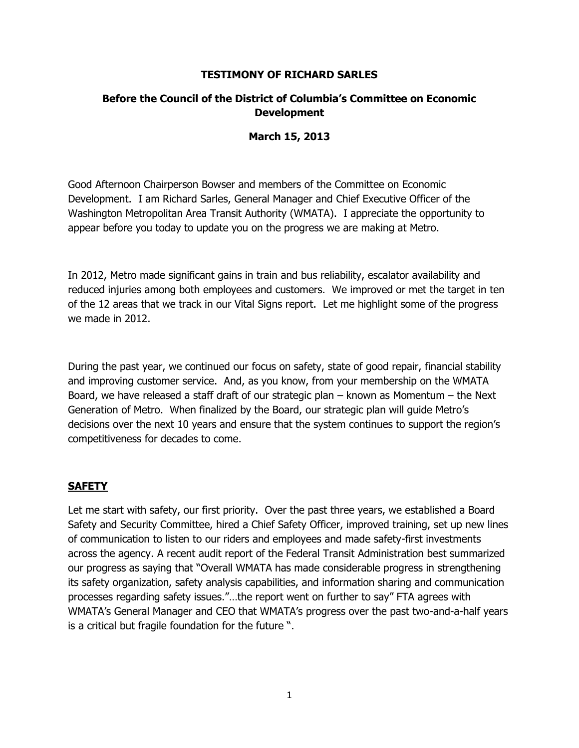#### **TESTIMONY OF RICHARD SARLES**

# **Before the Council of the District of Columbia's Committee on Economic Development**

#### **March 15, 2013**

Good Afternoon Chairperson Bowser and members of the Committee on Economic Development. I am Richard Sarles, General Manager and Chief Executive Officer of the Washington Metropolitan Area Transit Authority (WMATA). I appreciate the opportunity to appear before you today to update you on the progress we are making at Metro.

In 2012, Metro made significant gains in train and bus reliability, escalator availability and reduced injuries among both employees and customers. We improved or met the target in ten of the 12 areas that we track in our Vital Signs report. Let me highlight some of the progress we made in 2012.

During the past year, we continued our focus on safety, state of good repair, financial stability and improving customer service. And, as you know, from your membership on the WMATA Board, we have released a staff draft of our strategic plan – known as Momentum – the Next Generation of Metro. When finalized by the Board, our strategic plan will guide Metro's decisions over the next 10 years and ensure that the system continues to support the region's competitiveness for decades to come.

### **SAFETY**

Let me start with safety, our first priority. Over the past three years, we established a Board Safety and Security Committee, hired a Chief Safety Officer, improved training, set up new lines of communication to listen to our riders and employees and made safety-first investments across the agency. A recent audit report of the Federal Transit Administration best summarized our progress as saying that "Overall WMATA has made considerable progress in strengthening its safety organization, safety analysis capabilities, and information sharing and communication processes regarding safety issues."…the report went on further to say" FTA agrees with WMATA's General Manager and CEO that WMATA's progress over the past two-and-a-half years is a critical but fragile foundation for the future ".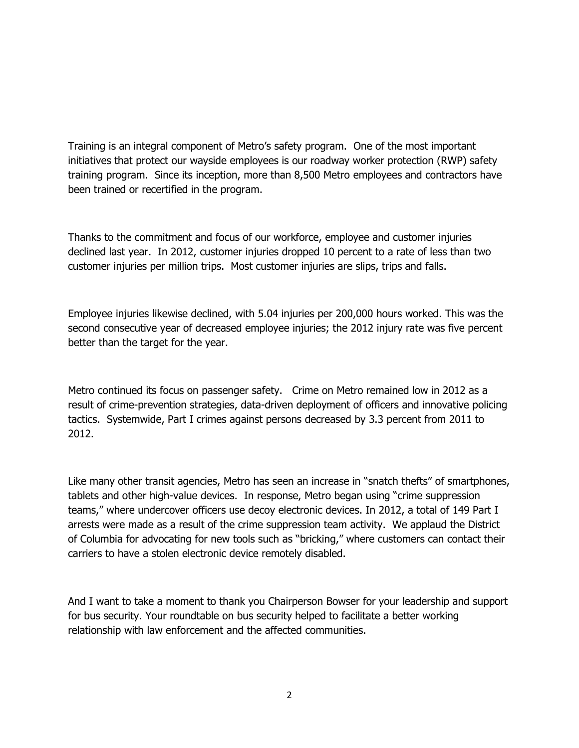Training is an integral component of Metro's safety program. One of the most important initiatives that protect our wayside employees is our roadway worker protection (RWP) safety training program. Since its inception, more than 8,500 Metro employees and contractors have been trained or recertified in the program.

Thanks to the commitment and focus of our workforce, employee and customer injuries declined last year. In 2012, customer injuries dropped 10 percent to a rate of less than two customer injuries per million trips. Most customer injuries are slips, trips and falls.

Employee injuries likewise declined, with 5.04 injuries per 200,000 hours worked. This was the second consecutive year of decreased employee injuries; the 2012 injury rate was five percent better than the target for the year.

Metro continued its focus on passenger safety. Crime on Metro remained low in 2012 as a result of crime-prevention strategies, data-driven deployment of officers and innovative policing tactics. Systemwide, Part I crimes against persons decreased by 3.3 percent from 2011 to 2012.

Like many other transit agencies, Metro has seen an increase in "snatch thefts" of smartphones, tablets and other high-value devices. In response, Metro began using "crime suppression teams," where undercover officers use decoy electronic devices. In 2012, a total of 149 Part I arrests were made as a result of the crime suppression team activity. We applaud the District of Columbia for advocating for new tools such as "bricking," where customers can contact their carriers to have a stolen electronic device remotely disabled.

And I want to take a moment to thank you Chairperson Bowser for your leadership and support for bus security. Your roundtable on bus security helped to facilitate a better working relationship with law enforcement and the affected communities.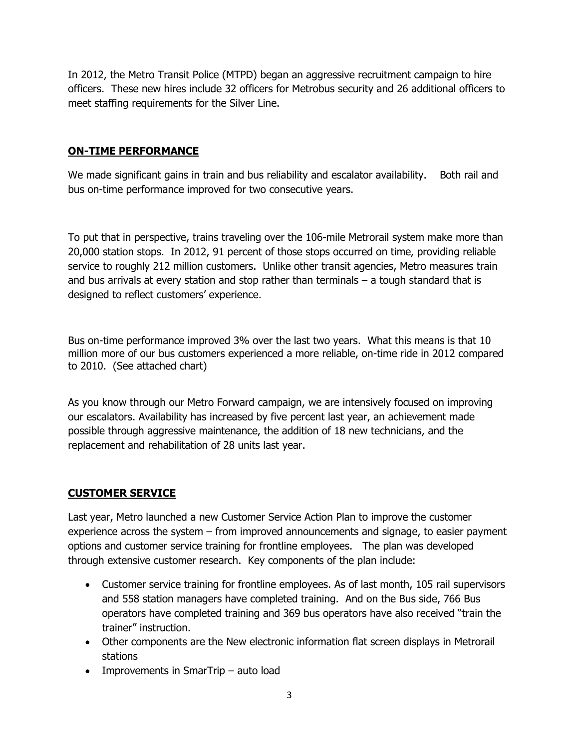In 2012, the Metro Transit Police (MTPD) began an aggressive recruitment campaign to hire officers. These new hires include 32 officers for Metrobus security and 26 additional officers to meet staffing requirements for the Silver Line.

# **ON-TIME PERFORMANCE**

We made significant gains in train and bus reliability and escalator availability. Both rail and bus on-time performance improved for two consecutive years.

To put that in perspective, trains traveling over the 106-mile Metrorail system make more than 20,000 station stops. In 2012, 91 percent of those stops occurred on time, providing reliable service to roughly 212 million customers. Unlike other transit agencies, Metro measures train and bus arrivals at every station and stop rather than terminals – a tough standard that is designed to reflect customers' experience.

Bus on-time performance improved 3% over the last two years. What this means is that 10 million more of our bus customers experienced a more reliable, on-time ride in 2012 compared to 2010. (See attached chart)

As you know through our Metro Forward campaign, we are intensively focused on improving our escalators. Availability has increased by five percent last year, an achievement made possible through aggressive maintenance, the addition of 18 new technicians, and the replacement and rehabilitation of 28 units last year.

# **CUSTOMER SERVICE**

Last year, Metro launched a new Customer Service Action Plan to improve the customer experience across the system – from improved announcements and signage, to easier payment options and customer service training for frontline employees. The plan was developed through extensive customer research. Key components of the plan include:

- Customer service training for frontline employees. As of last month, 105 rail supervisors and 558 station managers have completed training. And on the Bus side, 766 Bus operators have completed training and 369 bus operators have also received "train the trainer" instruction.
- Other components are the New electronic information flat screen displays in Metrorail stations
- Improvements in SmarTrip auto load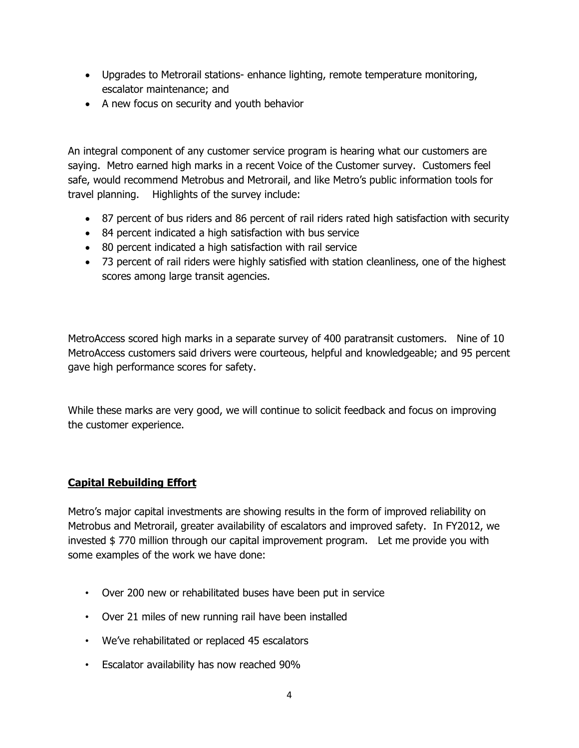- Upgrades to Metrorail stations- enhance lighting, remote temperature monitoring, escalator maintenance; and
- A new focus on security and youth behavior

An integral component of any customer service program is hearing what our customers are saying. Metro earned high marks in a recent Voice of the Customer survey. Customers feel safe, would recommend Metrobus and Metrorail, and like Metro's public information tools for travel planning. Highlights of the survey include:

- 87 percent of bus riders and 86 percent of rail riders rated high satisfaction with security
- 84 percent indicated a high satisfaction with bus service
- 80 percent indicated a high satisfaction with rail service
- 73 percent of rail riders were highly satisfied with station cleanliness, one of the highest scores among large transit agencies.

MetroAccess scored high marks in a separate survey of 400 paratransit customers. Nine of 10 MetroAccess customers said drivers were courteous, helpful and knowledgeable; and 95 percent gave high performance scores for safety.

While these marks are very good, we will continue to solicit feedback and focus on improving the customer experience.

# **Capital Rebuilding Effort**

Metro's major capital investments are showing results in the form of improved reliability on Metrobus and Metrorail, greater availability of escalators and improved safety. In FY2012, we invested \$ 770 million through our capital improvement program. Let me provide you with some examples of the work we have done:

- Over 200 new or rehabilitated buses have been put in service
- Over 21 miles of new running rail have been installed
- We've rehabilitated or replaced 45 escalators
- Escalator availability has now reached 90%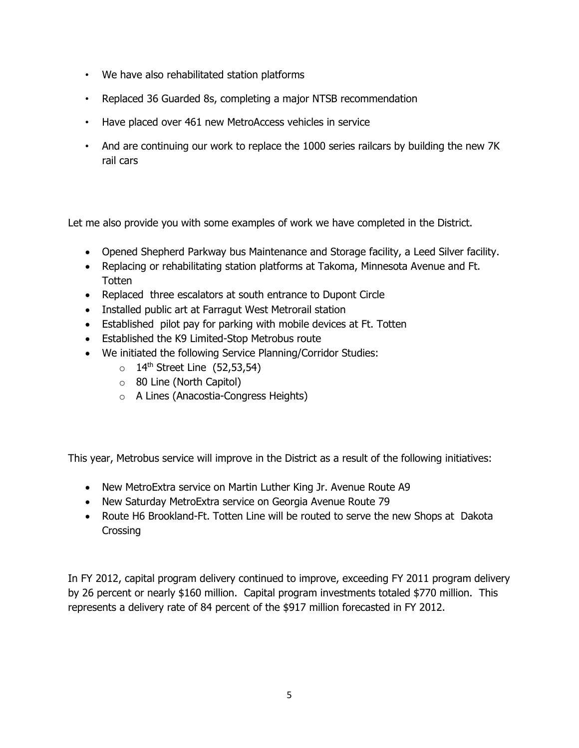- We have also rehabilitated station platforms
- Replaced 36 Guarded 8s, completing a major NTSB recommendation
- Have placed over 461 new MetroAccess vehicles in service
- And are continuing our work to replace the 1000 series railcars by building the new 7K rail cars

Let me also provide you with some examples of work we have completed in the District.

- Opened Shepherd Parkway bus Maintenance and Storage facility, a Leed Silver facility.
- Replacing or rehabilitating station platforms at Takoma, Minnesota Avenue and Ft. **Totten**
- Replaced three escalators at south entrance to Dupont Circle
- Installed public art at Farragut West Metrorail station
- Established pilot pay for parking with mobile devices at Ft. Totten
- Established the K9 Limited-Stop Metrobus route
- We initiated the following Service Planning/Corridor Studies:
	- $\circ$  14<sup>th</sup> Street Line (52,53,54)
	- o 80 Line (North Capitol)
	- o A Lines (Anacostia-Congress Heights)

This year, Metrobus service will improve in the District as a result of the following initiatives:

- New MetroExtra service on Martin Luther King Jr. Avenue Route A9
- New Saturday MetroExtra service on Georgia Avenue Route 79
- Route H6 Brookland-Ft. Totten Line will be routed to serve the new Shops at Dakota Crossing

In FY 2012, capital program delivery continued to improve, exceeding FY 2011 program delivery by 26 percent or nearly \$160 million. Capital program investments totaled \$770 million. This represents a delivery rate of 84 percent of the \$917 million forecasted in FY 2012.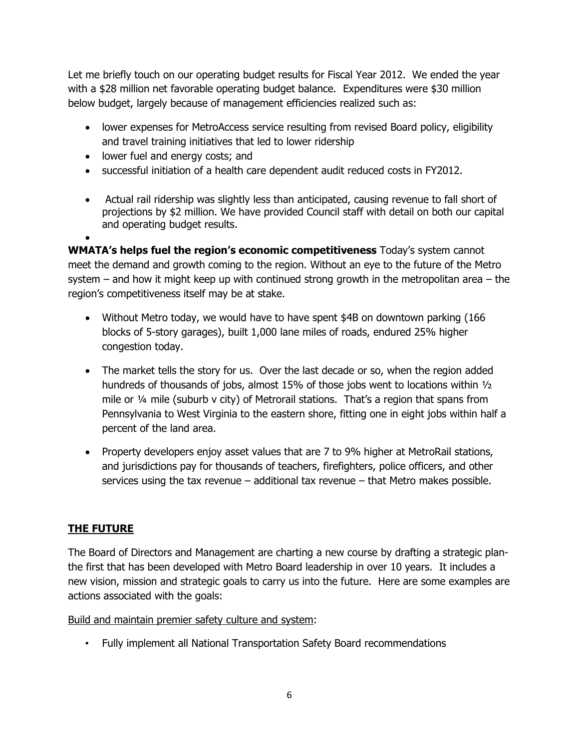Let me briefly touch on our operating budget results for Fiscal Year 2012. We ended the year with a \$28 million net favorable operating budget balance. Expenditures were \$30 million below budget, largely because of management efficiencies realized such as:

- lower expenses for MetroAccess service resulting from revised Board policy, eligibility and travel training initiatives that led to lower ridership
- lower fuel and energy costs; and
- successful initiation of a health care dependent audit reduced costs in FY2012.
- Actual rail ridership was slightly less than anticipated, causing revenue to fall short of projections by \$2 million. We have provided Council staff with detail on both our capital and operating budget results.

 $\bullet$ **WMATA's helps fuel the region's economic competitiveness** Today's system cannot meet the demand and growth coming to the region. Without an eye to the future of the Metro system – and how it might keep up with continued strong growth in the metropolitan area – the region's competitiveness itself may be at stake.

- Without Metro today, we would have to have spent \$4B on downtown parking (166 blocks of 5-story garages), built 1,000 lane miles of roads, endured 25% higher congestion today.
- The market tells the story for us. Over the last decade or so, when the region added hundreds of thousands of jobs, almost 15% of those jobs went to locations within ½ mile or ¼ mile (suburb v city) of Metrorail stations. That's a region that spans from Pennsylvania to West Virginia to the eastern shore, fitting one in eight jobs within half a percent of the land area.
- Property developers enjoy asset values that are 7 to 9% higher at MetroRail stations, and jurisdictions pay for thousands of teachers, firefighters, police officers, and other services using the tax revenue – additional tax revenue – that Metro makes possible.

# **THE FUTURE**

The Board of Directors and Management are charting a new course by drafting a strategic planthe first that has been developed with Metro Board leadership in over 10 years. It includes a new vision, mission and strategic goals to carry us into the future. Here are some examples are actions associated with the goals:

Build and maintain premier safety culture and system:

• Fully implement all National Transportation Safety Board recommendations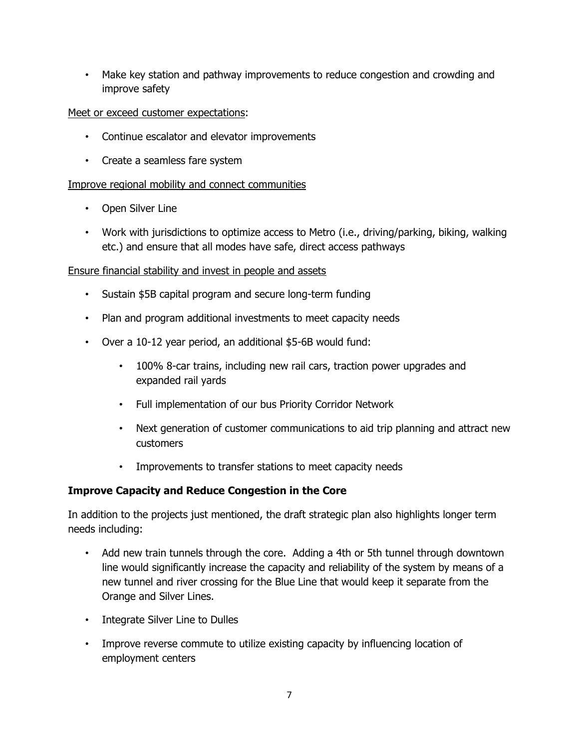• Make key station and pathway improvements to reduce congestion and crowding and improve safety

# Meet or exceed customer expectations:

- Continue escalator and elevator improvements
- Create a seamless fare system

# Improve regional mobility and connect communities

- Open Silver Line
- Work with jurisdictions to optimize access to Metro (i.e., driving/parking, biking, walking etc.) and ensure that all modes have safe, direct access pathways

### Ensure financial stability and invest in people and assets

- Sustain \$5B capital program and secure long-term funding
- Plan and program additional investments to meet capacity needs
- Over a 10-12 year period, an additional \$5-6B would fund:
	- 100% 8-car trains, including new rail cars, traction power upgrades and expanded rail yards
	- Full implementation of our bus Priority Corridor Network
	- Next generation of customer communications to aid trip planning and attract new customers
	- Improvements to transfer stations to meet capacity needs

### **Improve Capacity and Reduce Congestion in the Core**

In addition to the projects just mentioned, the draft strategic plan also highlights longer term needs including:

- Add new train tunnels through the core. Adding a 4th or 5th tunnel through downtown line would significantly increase the capacity and reliability of the system by means of a new tunnel and river crossing for the Blue Line that would keep it separate from the Orange and Silver Lines.
- Integrate Silver Line to Dulles
- Improve reverse commute to utilize existing capacity by influencing location of employment centers